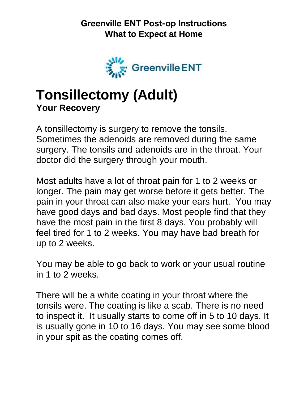

# **Tonsillectomy (Adult) Your Recovery**

A tonsillectomy is surgery to remove the tonsils. Sometimes the adenoids are removed during the same surgery. The tonsils and adenoids are in the throat. Your doctor did the surgery through your mouth.

Most adults have a lot of throat pain for 1 to 2 weeks or longer. The pain may get worse before it gets better. The pain in your throat can also make your ears hurt. You may have good days and bad days. Most people find that they have the most pain in the first 8 days. You probably will feel tired for 1 to 2 weeks. You may have bad breath for up to 2 weeks.

You may be able to go back to work or your usual routine in 1 to 2 weeks.

There will be a white coating in your throat where the tonsils were. The coating is like a scab. There is no need to inspect it. It usually starts to come off in 5 to 10 days. It is usually gone in 10 to 16 days. You may see some blood in your spit as the coating comes off.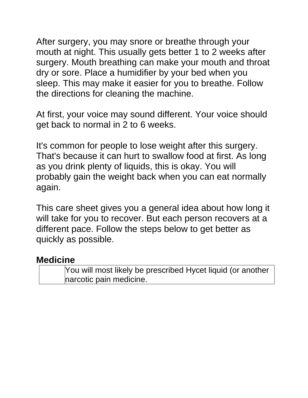After surgery, you may snore or breathe through your mouth at night. This usually gets better 1 to 2 weeks after surgery. Mouth breathing can make your mouth and throat dry or sore. Place a humidifier by your bed when you sleep. This may make it easier for you to breathe. Follow the directions for cleaning the machine.

At first, your voice may sound different. Your voice should get back to normal in 2 to 6 weeks.

It's common for people to lose weight after this surgery. That's because it can hurt to swallow food at first. As long as you drink plenty of liquids, this is okay. You will probably gain the weight back when you can eat normally again.

This care sheet gives you a general idea about how long it will take for you to recover. But each person recovers at a different pace. Follow the steps below to get better as quickly as possible.

### **Medicine**

You will most likely be prescribed Hycet liquid (or another narcotic pain medicine.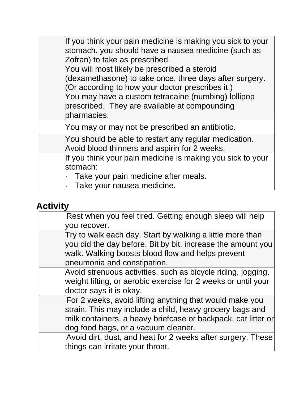| If you think your pain medicine is making you sick to your<br>stomach. you should have a nausea medicine (such as<br>Zofran) to take as prescribed.<br>You will most likely be prescribed a steroid<br>(dexamethasone) to take once, three days after surgery.<br>(Or according to how your doctor prescribes it.)<br>You may have a custom tetracaine (numbing) lollipop<br>prescribed. They are available at compounding<br>pharmacies. |
|-------------------------------------------------------------------------------------------------------------------------------------------------------------------------------------------------------------------------------------------------------------------------------------------------------------------------------------------------------------------------------------------------------------------------------------------|
| You may or may not be prescribed an antibiotic.                                                                                                                                                                                                                                                                                                                                                                                           |
| You should be able to restart any regular medication.<br>Avoid blood thinners and aspirin for 2 weeks.                                                                                                                                                                                                                                                                                                                                    |
| If you think your pain medicine is making you sick to your<br>stomach:<br>Take your pain medicine after meals.<br>Take your nausea medicine.                                                                                                                                                                                                                                                                                              |

## **Activity**

| Rest when you feel tired. Getting enough sleep will help      |
|---------------------------------------------------------------|
| you recover.                                                  |
| Try to walk each day. Start by walking a little more than     |
| you did the day before. Bit by bit, increase the amount you   |
| walk. Walking boosts blood flow and helps prevent             |
| pneumonia and constipation.                                   |
| Avoid strenuous activities, such as bicycle riding, jogging,  |
| weight lifting, or aerobic exercise for 2 weeks or until your |
| doctor says it is okay.                                       |
| For 2 weeks, avoid lifting anything that would make you       |
| strain. This may include a child, heavy grocery bags and      |
| milk containers, a heavy briefcase or backpack, cat litter or |
| dog food bags, or a vacuum cleaner.                           |
| Avoid dirt, dust, and heat for 2 weeks after surgery. These   |
| things can irritate your throat.                              |
|                                                               |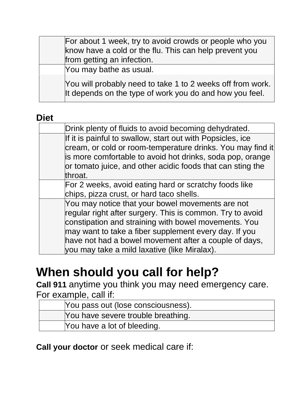| For about 1 week, try to avoid crowds or people who you                                                               |
|-----------------------------------------------------------------------------------------------------------------------|
| know have a cold or the flu. This can help prevent you                                                                |
| from getting an infection.                                                                                            |
| You may bathe as usual.                                                                                               |
| You will probably need to take 1 to 2 weeks off from work.<br>It depends on the type of work you do and how you feel. |

#### **Diet**

| Drink plenty of fluids to avoid becoming dehydrated.       |
|------------------------------------------------------------|
| If it is painful to swallow, start out with Popsicles, ice |
| cream, or cold or room-temperature drinks. You may find it |
| is more comfortable to avoid hot drinks, soda pop, orange  |
| or tomato juice, and other acidic foods that can sting the |
| throat.                                                    |
| For 2 weeks, avoid eating hard or scratchy foods like      |
| chips, pizza crust, or hard taco shells.                   |
| You may notice that your bowel movements are not           |
| regular right after surgery. This is common. Try to avoid  |
| constipation and straining with bowel movements. You       |
| may want to take a fiber supplement every day. If you      |
| have not had a bowel movement after a couple of days,      |
| you may take a mild laxative (like Miralax).               |

# **When should you call for help?**

**Call 911** anytime you think you may need emergency care. For example, call if:

| You pass out (lose consciousness). |
|------------------------------------|
| You have severe trouble breathing. |
| You have a lot of bleeding.        |

**Call your doctor** or seek medical care if: